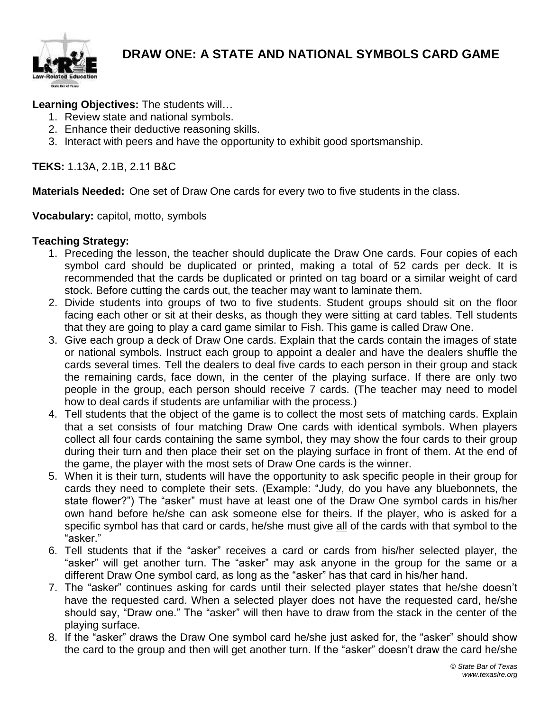

**Learning Objectives:** The students will…

- 1. Review state and national symbols.
- 2. Enhance their deductive reasoning skills.
- 3. Interact with peers and have the opportunity to exhibit good sportsmanship.

## **TEKS:** 1.13A, 2.1B, 2.11 B&C

**Materials Needed:** One set of Draw One cards for every two to five students in the class.

## **Vocabulary:** capitol, motto, symbols

## **Teaching Strategy:**

- 1. Preceding the lesson, the teacher should duplicate the Draw One cards. Four copies of each symbol card should be duplicated or printed, making a total of 52 cards per deck. It is recommended that the cards be duplicated or printed on tag board or a similar weight of card stock. Before cutting the cards out, the teacher may want to laminate them.
- 2. Divide students into groups of two to five students. Student groups should sit on the floor facing each other or sit at their desks, as though they were sitting at card tables. Tell students that they are going to play a card game similar to Fish. This game is called Draw One.
- 3. Give each group a deck of Draw One cards. Explain that the cards contain the images of state or national symbols. Instruct each group to appoint a dealer and have the dealers shuffle the cards several times. Tell the dealers to deal five cards to each person in their group and stack the remaining cards, face down, in the center of the playing surface. If there are only two people in the group, each person should receive 7 cards. (The teacher may need to model how to deal cards if students are unfamiliar with the process.)
- 4. Tell students that the object of the game is to collect the most sets of matching cards. Explain that a set consists of four matching Draw One cards with identical symbols. When players collect all four cards containing the same symbol, they may show the four cards to their group during their turn and then place their set on the playing surface in front of them. At the end of the game, the player with the most sets of Draw One cards is the winner.
- 5. When it is their turn, students will have the opportunity to ask specific people in their group for cards they need to complete their sets. (Example: "Judy, do you have any bluebonnets, the state flower?") The "asker" must have at least one of the Draw One symbol cards in his/her own hand before he/she can ask someone else for theirs. If the player, who is asked for a specific symbol has that card or cards, he/she must give all of the cards with that symbol to the "asker."
- 6. Tell students that if the "asker" receives a card or cards from his/her selected player, the "asker" will get another turn. The "asker" may ask anyone in the group for the same or a different Draw One symbol card, as long as the "asker" has that card in his/her hand.
- 7. The "asker" continues asking for cards until their selected player states that he/she doesn't have the requested card. When a selected player does not have the requested card, he/she should say, "Draw one." The "asker" will then have to draw from the stack in the center of the playing surface.
- 8. If the "asker" draws the Draw One symbol card he/she just asked for, the "asker" should show the card to the group and then will get another turn. If the "asker" doesn't draw the card he/she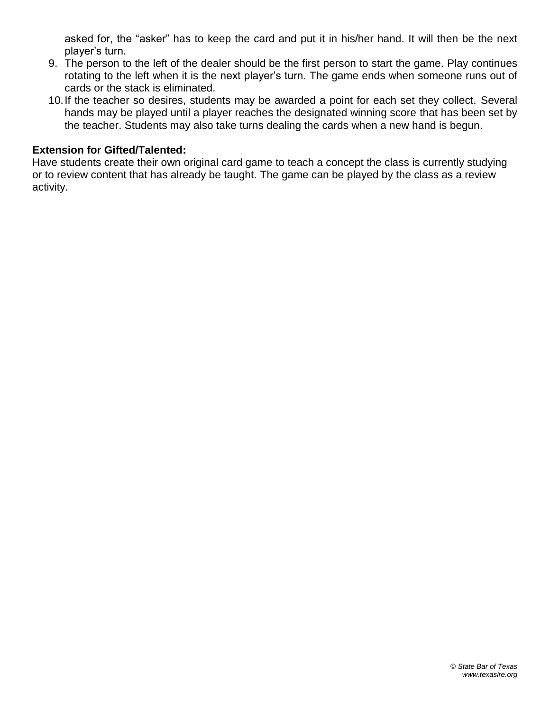asked for, the "asker" has to keep the card and put it in his/her hand. It will then be the next player's turn.

- 9. The person to the left of the dealer should be the first person to start the game. Play continues rotating to the left when it is the next player's turn. The game ends when someone runs out of cards or the stack is eliminated.
- 10.If the teacher so desires, students may be awarded a point for each set they collect. Several hands may be played until a player reaches the designated winning score that has been set by the teacher. Students may also take turns dealing the cards when a new hand is begun.

## **Extension for Gifted/Talented:**

Have students create their own original card game to teach a concept the class is currently studying or to review content that has already be taught. The game can be played by the class as a review activity.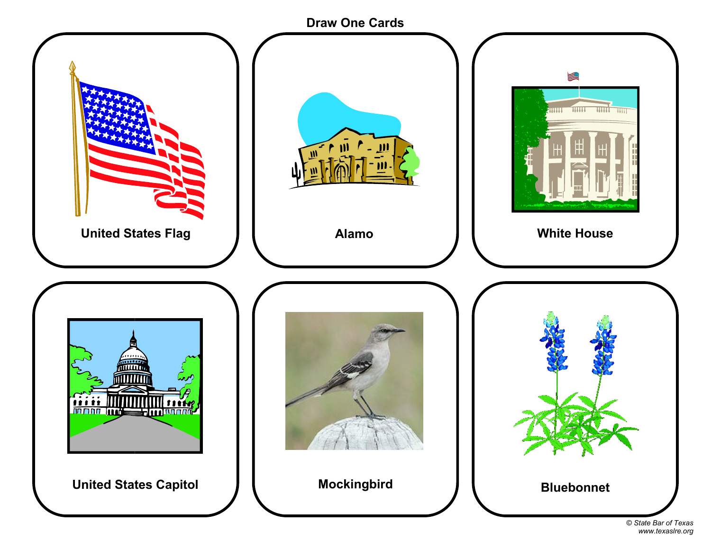

<sup>©</sup> *State Bar of Texas www.texaslre.org*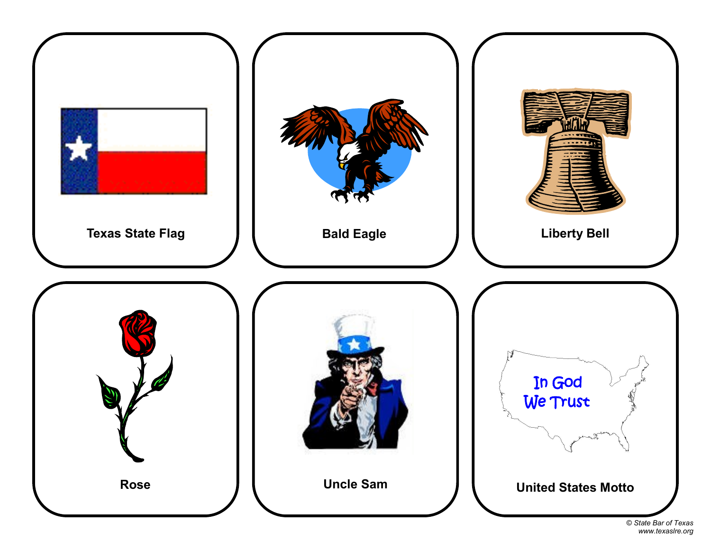